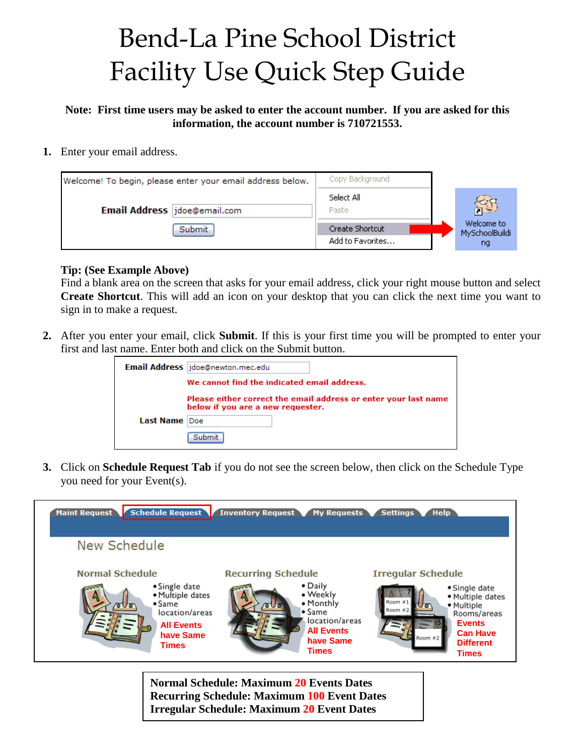## Bend-La Pine School District Facility Use Quick Step Guide

**Note: First time users may be asked to enter the account number. If you are asked for this information, the account number is 710721553.**

**1.** Enter your email address.

| Welcome! To begin, please enter your email address below. | Copy Background                     |                                    |
|-----------------------------------------------------------|-------------------------------------|------------------------------------|
| Email Address jdoe@email.com                              | Select All<br>Paste.                | 岗                                  |
| Submit                                                    | Create Shortcut<br>Add to Favorites | Welcome to<br>MySchoolBuildi<br>ng |

## **Tip: (See Example Above)**

Find a blank area on the screen that asks for your email address, click your right mouse button and select **Create Shortcut**. This will add an icon on your desktop that you can click the next time you want to sign in to make a request.

**2.** After you enter your email, click **Submit**. If this is your first time you will be prompted to enter your first and last name. Enter both and click on the Submit button.

|               | Email Address jdoe@newton.mec.edu                                                                    |
|---------------|------------------------------------------------------------------------------------------------------|
|               | We cannot find the indicated email address.                                                          |
|               | Please either correct the email address or enter your last name<br>below if you are a new requester. |
| Last Name Doe |                                                                                                      |
|               | Submit                                                                                               |

**3.** Click on **Schedule Request Tab** if you do not see the screen below, then click on the Schedule Type you need for your Event(s).



**Normal Schedule: Maximum 20 Events Dates Recurring Schedule: Maximum 100 Event Dates Irregular Schedule: Maximum 20 Event Dates**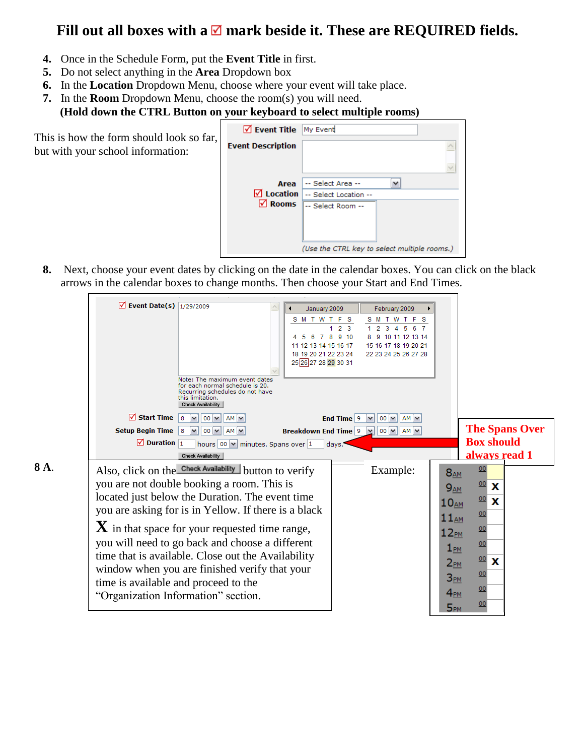## Fill out all boxes with a  $\blacksquare$  mark beside it. These are REQUIRED fields.

- **4.** Once in the Schedule Form, put the **Event Title** in first.
- **5.** Do not select anything in the **Area** Dropdown box
- **6.** In the **Location** Dropdown Menu, choose where your event will take place.

<u>and the company of the company of the company of the company of the company of the company of the company of the company of the company of the company of the company of the company of the company of the company of the com</u>

**7.** In the **Room** Dropdown Menu, choose the room(s) you will need. **(Hold down the CTRL Button on your keyboard to select multiple rooms)**

This is how the form should look so far, but with your school information:

 $\Box$ 

| V Event Title My Event   |                                              |
|--------------------------|----------------------------------------------|
| <b>Event Description</b> |                                              |
|                          |                                              |
| Area                     | -- Select Area --                            |
| $\nabla$ Location        | -- Select Location --                        |
| <b>⊠</b> Rooms           | -- Select Room --                            |
|                          |                                              |
|                          |                                              |
|                          | (Use the CTRL key to select multiple rooms.) |

 $\Box$ 

**8.** Next, choose your event dates by clicking on the date in the calendar boxes. You can click on the black arrows in the calendar boxes to change months. Then choose your Start and End Times.

**Contract Contract Contract** 

|      | $\sqrt{ }$ Event Date(s) $\sqrt{1/29/2009}$<br>February 2009<br>January 2009<br>SMTWTFS<br><b>SMTWTFS</b><br>2 <sup>3</sup><br>$\overline{2}$<br>6 7<br>9 10<br>8<br>9 10 11 12 13 14<br>6<br>15 16 17 18 19 20 21<br>11 12 13 14 15 16 17<br>18 19 20 21 22 23 24<br>22 23 24 25 26 27 28<br>25 26 27 28 29 30 31<br>Note: The maximum event dates<br>for each normal schedule is 20.<br>Recurring schedules do not have<br>this limitation.<br><b>Check Availability</b>                                                                                                                                                                                                                                                                                                                                                                                                                                                              |                                                                                                                                                                                                                                                                                               |
|------|-----------------------------------------------------------------------------------------------------------------------------------------------------------------------------------------------------------------------------------------------------------------------------------------------------------------------------------------------------------------------------------------------------------------------------------------------------------------------------------------------------------------------------------------------------------------------------------------------------------------------------------------------------------------------------------------------------------------------------------------------------------------------------------------------------------------------------------------------------------------------------------------------------------------------------------------|-----------------------------------------------------------------------------------------------------------------------------------------------------------------------------------------------------------------------------------------------------------------------------------------------|
| 8 A. | $\sqrt{ }$ Start Time<br>8<br>$00 \vee$<br>End Time $ 9 $<br>$AM \vee$<br>00 $\vee$ AM $\vee$<br>$\checkmark$<br><b>Setup Begin Time</b><br><b>Breakdown End Time 9   <math>\times</math>   00 <math>\times</math>   AM <math>\times</math></b><br>8<br>$00 \vee$<br>$AM$ $\vee$<br>$\sqrt{2}$ Duration $\sqrt{1}$<br>hours $\boxed{00}$ M minutes. Spans over 1<br>days.<br><b>Check Availability</b><br>Also, click on the Check Availability button to verify<br>Example:<br>you are not double booking a room. This is<br>located just below the Duration. The event time<br>you are asking for is in Yellow. If there is a black<br>$\bf{X}$ in that space for your requested time range,<br>you will need to go back and choose a different<br>time that is available. Close out the Availability<br>window when you are finished verify that your<br>time is available and proceed to the<br>"Organization Information" section. | <b>The Spans Over</b><br><b>Box should</b><br>always read 1<br>00<br>$8_{AM}$<br>00<br>x<br>9 <sub>AM</sub><br>00<br>x<br>$10_{AM}$<br>00<br>$11_{AM}$<br>00<br>12 <sub>PM</sub><br>00<br>$1_{PM}$<br>00<br>x<br>$2_{PM}$<br>00<br>3 <sub>PM</sub><br>00<br>$4_{PM}$<br>00<br>5 <sub>PM</sub> |